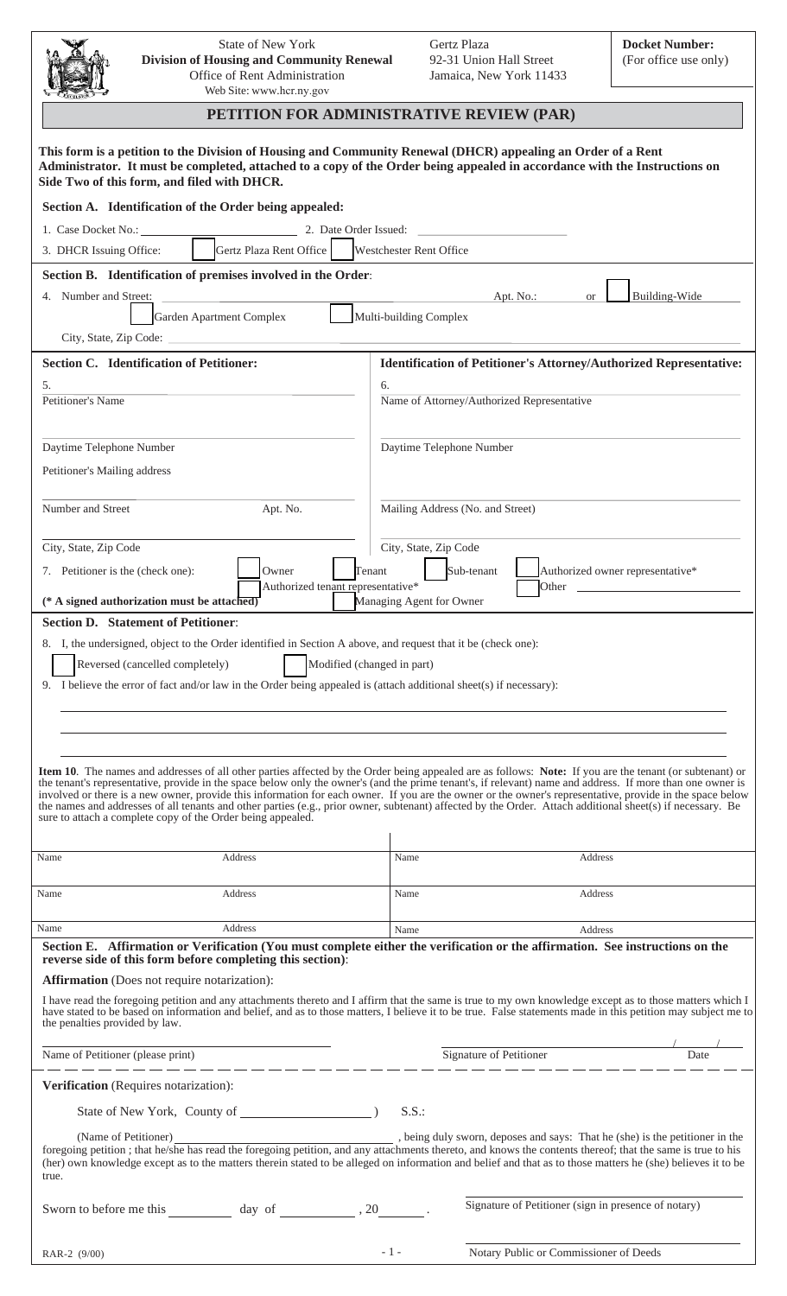|                                                                                                                                                                                                                                                                                                                                                                                                                                                                                                                                                      | <b>State of New York</b><br><b>Division of Housing and Community Renewal</b><br>Office of Rent Administration<br>Web Site: www.hcr.ny.gov                                                                                                                                                                                 |          | Gertz Plaza<br>92-31 Union Hall Street<br>Jamaica, New York 11433 |                                                      | <b>Docket Number:</b><br>(For office use only)                            |  |
|------------------------------------------------------------------------------------------------------------------------------------------------------------------------------------------------------------------------------------------------------------------------------------------------------------------------------------------------------------------------------------------------------------------------------------------------------------------------------------------------------------------------------------------------------|---------------------------------------------------------------------------------------------------------------------------------------------------------------------------------------------------------------------------------------------------------------------------------------------------------------------------|----------|-------------------------------------------------------------------|------------------------------------------------------|---------------------------------------------------------------------------|--|
| PETITION FOR ADMINISTRATIVE REVIEW (PAR)                                                                                                                                                                                                                                                                                                                                                                                                                                                                                                             |                                                                                                                                                                                                                                                                                                                           |          |                                                                   |                                                      |                                                                           |  |
|                                                                                                                                                                                                                                                                                                                                                                                                                                                                                                                                                      | This form is a petition to the Division of Housing and Community Renewal (DHCR) appealing an Order of a Rent<br>Administrator. It must be completed, attached to a copy of the Order being appealed in accordance with the Instructions on<br>Side Two of this form, and filed with DHCR.                                 |          |                                                                   |                                                      |                                                                           |  |
| Section A. Identification of the Order being appealed:                                                                                                                                                                                                                                                                                                                                                                                                                                                                                               |                                                                                                                                                                                                                                                                                                                           |          |                                                                   |                                                      |                                                                           |  |
| 1. Case Docket No.:<br>2. Date Order Issued:                                                                                                                                                                                                                                                                                                                                                                                                                                                                                                         |                                                                                                                                                                                                                                                                                                                           |          |                                                                   |                                                      |                                                                           |  |
| Gertz Plaza Rent Office<br><b>Westchester Rent Office</b><br>3. DHCR Issuing Office:                                                                                                                                                                                                                                                                                                                                                                                                                                                                 |                                                                                                                                                                                                                                                                                                                           |          |                                                                   |                                                      |                                                                           |  |
| Section B. Identification of premises involved in the Order:                                                                                                                                                                                                                                                                                                                                                                                                                                                                                         |                                                                                                                                                                                                                                                                                                                           |          |                                                                   |                                                      |                                                                           |  |
| 4. Number and Street:<br>Building-Wide<br>Apt. No.:<br><b>or</b><br>Garden Apartment Complex<br>Multi-building Complex                                                                                                                                                                                                                                                                                                                                                                                                                               |                                                                                                                                                                                                                                                                                                                           |          |                                                                   |                                                      |                                                                           |  |
|                                                                                                                                                                                                                                                                                                                                                                                                                                                                                                                                                      |                                                                                                                                                                                                                                                                                                                           |          |                                                                   |                                                      |                                                                           |  |
|                                                                                                                                                                                                                                                                                                                                                                                                                                                                                                                                                      | Section C. Identification of Petitioner:                                                                                                                                                                                                                                                                                  |          |                                                                   |                                                      | <b>Identification of Petitioner's Attorney/Authorized Representative:</b> |  |
| 5.<br>Petitioner's Name                                                                                                                                                                                                                                                                                                                                                                                                                                                                                                                              |                                                                                                                                                                                                                                                                                                                           |          | 6.<br>Name of Attorney/Authorized Representative                  |                                                      |                                                                           |  |
|                                                                                                                                                                                                                                                                                                                                                                                                                                                                                                                                                      |                                                                                                                                                                                                                                                                                                                           |          |                                                                   |                                                      |                                                                           |  |
| Daytime Telephone Number                                                                                                                                                                                                                                                                                                                                                                                                                                                                                                                             |                                                                                                                                                                                                                                                                                                                           |          | Daytime Telephone Number                                          |                                                      |                                                                           |  |
| Petitioner's Mailing address                                                                                                                                                                                                                                                                                                                                                                                                                                                                                                                         |                                                                                                                                                                                                                                                                                                                           |          |                                                                   |                                                      |                                                                           |  |
| Number and Street<br>Apt. No.                                                                                                                                                                                                                                                                                                                                                                                                                                                                                                                        |                                                                                                                                                                                                                                                                                                                           |          | Mailing Address (No. and Street)                                  |                                                      |                                                                           |  |
| City, State, Zip Code                                                                                                                                                                                                                                                                                                                                                                                                                                                                                                                                |                                                                                                                                                                                                                                                                                                                           |          |                                                                   |                                                      |                                                                           |  |
| City, State, Zip Code                                                                                                                                                                                                                                                                                                                                                                                                                                                                                                                                | Owner                                                                                                                                                                                                                                                                                                                     | Tenant   | Sub-tenant                                                        |                                                      | Authorized owner representative*                                          |  |
| 7. Petitioner is the (check one):                                                                                                                                                                                                                                                                                                                                                                                                                                                                                                                    | Authorized tenant representative*                                                                                                                                                                                                                                                                                         |          |                                                                   | Other                                                |                                                                           |  |
| Managing Agent for Owner<br>(* A signed authorization must be attached)<br><b>Section D. Statement of Petitioner:</b>                                                                                                                                                                                                                                                                                                                                                                                                                                |                                                                                                                                                                                                                                                                                                                           |          |                                                                   |                                                      |                                                                           |  |
| 8. I, the undersigned, object to the Order identified in Section A above, and request that it be (check one):<br>Modified (changed in part)<br>Reversed (cancelled completely)<br>9. I believe the error of fact and/or law in the Order being appealed is (attach additional sheet(s) if necessary):<br>Item 10. The names and addresses of all other parties affected by the Order being appealed are as follows: Note: If you are the tenant (or subtenant) or                                                                                    |                                                                                                                                                                                                                                                                                                                           |          |                                                                   |                                                      |                                                                           |  |
| the tenant's representative, provide in the space below only the owner's (and the prime tenant's, if relevant) name and address. If more than one owner is<br>involved or there is a new owner, provide this information for each owner. If you are the owner or the owner's representative, provide in the space below<br>the names and addresses of all tenants and other parties (e.g., prior owner, subtenant) affected by the Order. Attach additional sheet(s) if necessary. Be<br>sure to attach a complete copy of the Order being appealed. |                                                                                                                                                                                                                                                                                                                           |          |                                                                   |                                                      |                                                                           |  |
| Name                                                                                                                                                                                                                                                                                                                                                                                                                                                                                                                                                 | Address                                                                                                                                                                                                                                                                                                                   | Name     |                                                                   | Address                                              |                                                                           |  |
| Name                                                                                                                                                                                                                                                                                                                                                                                                                                                                                                                                                 | Address                                                                                                                                                                                                                                                                                                                   | Name     |                                                                   | Address                                              |                                                                           |  |
| Name                                                                                                                                                                                                                                                                                                                                                                                                                                                                                                                                                 | Address                                                                                                                                                                                                                                                                                                                   | Name     |                                                                   | Address                                              |                                                                           |  |
|                                                                                                                                                                                                                                                                                                                                                                                                                                                                                                                                                      | Section E. Affirmation or Verification (You must complete either the verification or the affirmation. See instructions on the<br>reverse side of this form before completing this section):                                                                                                                               |          |                                                                   |                                                      |                                                                           |  |
|                                                                                                                                                                                                                                                                                                                                                                                                                                                                                                                                                      | <b>Affirmation</b> (Does not require notarization):                                                                                                                                                                                                                                                                       |          |                                                                   |                                                      |                                                                           |  |
| the penalties provided by law.                                                                                                                                                                                                                                                                                                                                                                                                                                                                                                                       | I have read the foregoing petition and any attachments thereto and I affirm that the same is true to my own knowledge except as to those matters which I<br>have stated to be based on information and belief, and as to those matters, I believe it to be true. False statements made in this petition may subject me to |          |                                                                   |                                                      |                                                                           |  |
| Name of Petitioner (please print)                                                                                                                                                                                                                                                                                                                                                                                                                                                                                                                    |                                                                                                                                                                                                                                                                                                                           |          | Signature of Petitioner                                           |                                                      | Date                                                                      |  |
|                                                                                                                                                                                                                                                                                                                                                                                                                                                                                                                                                      | Verification (Requires notarization):                                                                                                                                                                                                                                                                                     |          |                                                                   |                                                      |                                                                           |  |
|                                                                                                                                                                                                                                                                                                                                                                                                                                                                                                                                                      |                                                                                                                                                                                                                                                                                                                           | $S.S.$ : |                                                                   |                                                      |                                                                           |  |
| (Name of Petitioner)<br>, being duly sworn, deposes and says: That he (she) is the petitioner in the<br>foregoing petition; that he/she has read the foregoing petition, and any attachments thereto, and knows the contents thereof; that the same is true to his<br>(her) own knowledge except as to the matters therein stated to be alleged on information and belief and that as to those matters he (she) believes it to be<br>true.                                                                                                           |                                                                                                                                                                                                                                                                                                                           |          |                                                                   |                                                      |                                                                           |  |
|                                                                                                                                                                                                                                                                                                                                                                                                                                                                                                                                                      | Sworn to before me this day of , 20                                                                                                                                                                                                                                                                                       |          |                                                                   | Signature of Petitioner (sign in presence of notary) |                                                                           |  |
| RAR-2 (9/00)                                                                                                                                                                                                                                                                                                                                                                                                                                                                                                                                         |                                                                                                                                                                                                                                                                                                                           | $-1-$    |                                                                   | Notary Public or Commissioner of Deeds               |                                                                           |  |